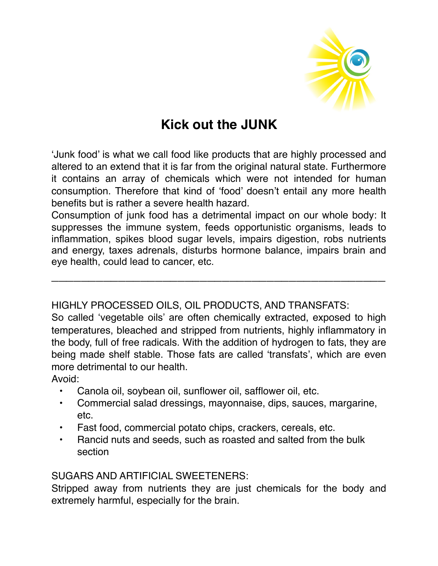

# **Kick out the JUNK**

'Junk food' is what we call food like products that are highly processed and altered to an extend that it is far from the original natural state. Furthermore it contains an array of chemicals which were not intended for human consumption. Therefore that kind of 'food' doesn't entail any more health benefits but is rather a severe health hazard.

Consumption of junk food has a detrimental impact on our whole body: It suppresses the immune system, feeds opportunistic organisms, leads to inflammation, spikes blood sugar levels, impairs digestion, robs nutrients and energy, taxes adrenals, disturbs hormone balance, impairs brain and eye health, could lead to cancer, etc.

\_\_\_\_\_\_\_\_\_\_\_\_\_\_\_\_\_\_\_\_\_\_\_\_\_\_\_\_\_\_\_\_\_\_\_\_\_\_\_\_\_\_\_\_\_

#### HIGHLY PROCESSED OILS, OIL PRODUCTS, AND TRANSFATS:

So called 'vegetable oils' are often chemically extracted, exposed to high temperatures, bleached and stripped from nutrients, highly inflammatory in the body, full of free radicals. With the addition of hydrogen to fats, they are being made shelf stable. Those fats are called 'transfats', which are even more detrimental to our health.

Avoid:

- Canola oil, soybean oil, sunflower oil, safflower oil, etc.
- Commercial salad dressings, mayonnaise, dips, sauces, margarine, etc.
- Fast food, commercial potato chips, crackers, cereals, etc.
- Rancid nuts and seeds, such as roasted and salted from the bulk section

#### SUGARS AND ARTIFICIAL SWEETENERS:

Stripped away from nutrients they are just chemicals for the body and extremely harmful, especially for the brain.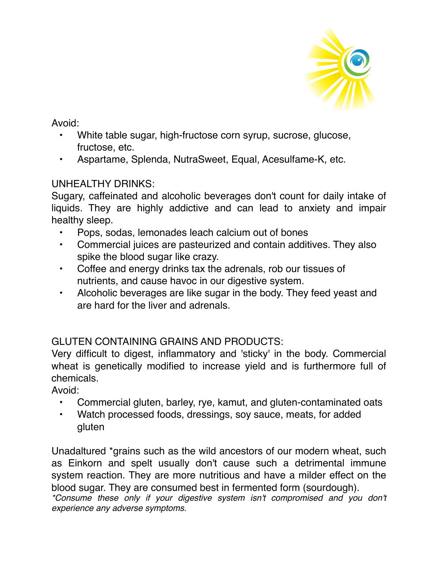

Avoid:

- White table sugar, high-fructose corn syrup, sucrose, glucose, fructose, etc.
- Aspartame, Splenda, NutraSweet, Equal, Acesulfame-K, etc.

## UNHEALTHY DRINKS:

Sugary, caffeinated and alcoholic beverages don't count for daily intake of liquids. They are highly addictive and can lead to anxiety and impair healthy sleep.

- Pops, sodas, lemonades leach calcium out of bones
- Commercial juices are pasteurized and contain additives. They also spike the blood sugar like crazy.
- Coffee and energy drinks tax the adrenals, rob our tissues of nutrients, and cause havoc in our digestive system.
- Alcoholic beverages are like sugar in the body. They feed yeast and are hard for the liver and adrenals.

# GLUTEN CONTAINING GRAINS AND PRODUCTS:

Very difficult to digest, inflammatory and 'sticky' in the body. Commercial wheat is genetically modified to increase yield and is furthermore full of chemicals.

Avoid:

- Commercial gluten, barley, rye, kamut, and gluten-contaminated oats
- Watch processed foods, dressings, soy sauce, meats, for added gluten

Unadaltured \*grains such as the wild ancestors of our modern wheat, such as Einkorn and spelt usually don't cause such a detrimental immune system reaction. They are more nutritious and have a milder effect on the blood sugar. They are consumed best in fermented form (sourdough).

*\*Consume these only if your digestive system isn't compromised and you don't experience any adverse symptoms.*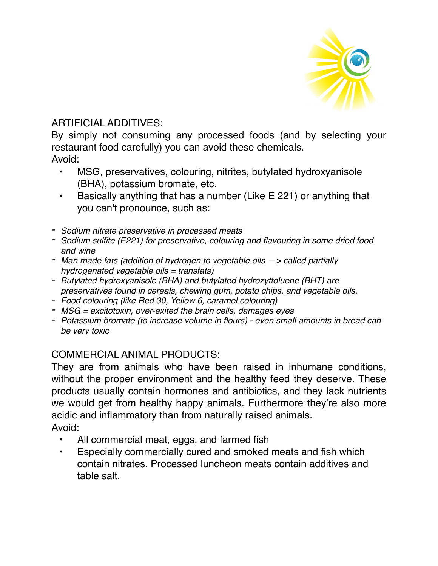

### ARTIFICIAL ADDITIVES:

By simply not consuming any processed foods (and by selecting your restaurant food carefully) you can avoid these chemicals. Avoid:

- MSG, preservatives, colouring, nitrites, butylated hydroxyanisole (BHA), potassium bromate, etc.
- Basically anything that has a number (Like E 221) or anything that you can't pronounce, such as:
- *- Sodium nitrate preservative in processed meats*
- *- Sodium sulfite (E221) for preservative, colouring and flavouring in some dried food and wine*
- *- Man made fats (addition of hydrogen to vegetable oils —> called partially hydrogenated vegetable oils = transfats)*
- *- Butylated hydroxyanisole (BHA) and butylated hydrozyttoluene (BHT) are preservatives found in cereals, chewing gum, potato chips, and vegetable oils.*
- *- Food colouring (like Red 30, Yellow 6, caramel colouring)*
- *- MSG = excitotoxin, over-exited the brain cells, damages eyes*
- *- Potassium bromate (to increase volume in flours) even small amounts in bread can be very toxic*

## COMMERCIAL ANIMAL PRODUCTS:

They are from animals who have been raised in inhumane conditions, without the proper environment and the healthy feed they deserve. These products usually contain hormones and antibiotics, and they lack nutrients we would get from healthy happy animals. Furthermore they're also more acidic and inflammatory than from naturally raised animals. Avoid:

- - All commercial meat, eggs, and farmed fish
	- Especially commercially cured and smoked meats and fish which contain nitrates. Processed luncheon meats contain additives and table salt.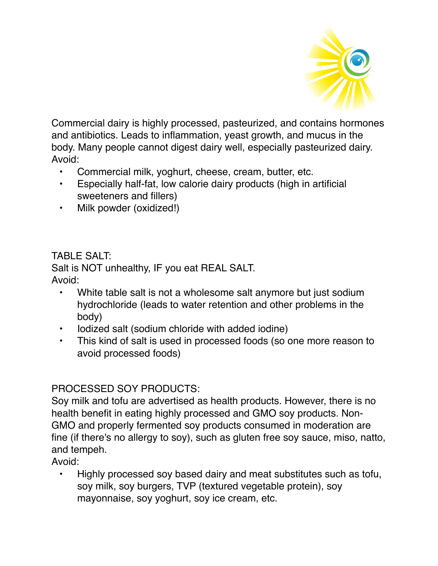

Commercial dairy is highly processed, pasteurized, and contains hormones and antibiotics. Leads to inflammation, yeast growth, and mucus in the body. Many people cannot digest dairy well, especially pasteurized dairy. Avoid:

- Commercial milk, yoghurt, cheese, cream, butter, etc.
- Especially half-fat, low calorie dairy products (high in artificial sweeteners and fillers)
- Milk powder (oxidized!)

## TABLE SALT:

Salt is NOT unhealthy, IF you eat REAL SALT. Avoid:

- White table salt is not a wholesome salt anymore but just sodium hydrochloride (leads to water retention and other problems in the body)
- Iodized salt (sodium chloride with added iodine)
- This kind of salt is used in processed foods (so one more reason to avoid processed foods)

## PROCESSED SOY PRODUCTS:

Soy milk and tofu are advertised as health products. However, there is no health benefit in eating highly processed and GMO soy products. Non-GMO and properly fermented soy products consumed in moderation are fine (if there's no allergy to soy), such as gluten free soy sauce, miso, natto, and tempeh.

Avoid:

• Highly processed soy based dairy and meat substitutes such as tofu, soy milk, soy burgers, TVP (textured vegetable protein), soy mayonnaise, soy yoghurt, soy ice cream, etc.